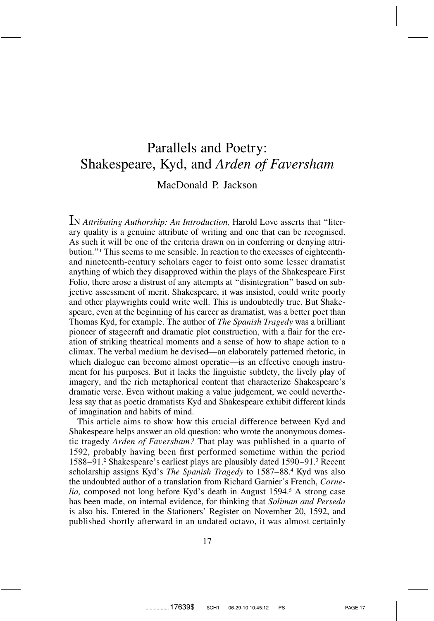## Parallels and Poetry: Shakespeare, Kyd, and *Arden of Faversham*

## MacDonald P. Jackson

IN *Attributing Authorship: An Introduction,* Harold Love asserts that ''literary quality is a genuine attribute of writing and one that can be recognised. As such it will be one of the criteria drawn on in conferring or denying attribution.''1 This seems to me sensible. In reaction to the excesses of eighteenthand nineteenth-century scholars eager to foist onto some lesser dramatist anything of which they disapproved within the plays of the Shakespeare First Folio, there arose a distrust of any attempts at ''disintegration'' based on subjective assessment of merit. Shakespeare, it was insisted, could write poorly and other playwrights could write well. This is undoubtedly true. But Shakespeare, even at the beginning of his career as dramatist, was a better poet than Thomas Kyd, for example. The author of *The Spanish Tragedy* was a brilliant pioneer of stagecraft and dramatic plot construction, with a flair for the creation of striking theatrical moments and a sense of how to shape action to a climax. The verbal medium he devised—an elaborately patterned rhetoric, in which dialogue can become almost operatic—is an effective enough instrument for his purposes. But it lacks the linguistic subtlety, the lively play of imagery, and the rich metaphorical content that characterize Shakespeare's dramatic verse. Even without making a value judgement, we could nevertheless say that as poetic dramatists Kyd and Shakespeare exhibit different kinds of imagination and habits of mind.

This article aims to show how this crucial difference between Kyd and Shakespeare helps answer an old question: who wrote the anonymous domestic tragedy *Arden of Faversham?* That play was published in a quarto of 1592, probably having been first performed sometime within the period 1588–91.2 Shakespeare's earliest plays are plausibly dated 1590–91.3 Recent scholarship assigns Kyd's *The Spanish Tragedy* to 1587–88.4 Kyd was also the undoubted author of a translation from Richard Garnier's French, *Cornelia,* composed not long before Kyd's death in August 1594.<sup>5</sup> A strong case has been made, on internal evidence, for thinking that *Soliman and Perseda* is also his. Entered in the Stationers' Register on November 20, 1592, and published shortly afterward in an undated octavo, it was almost certainly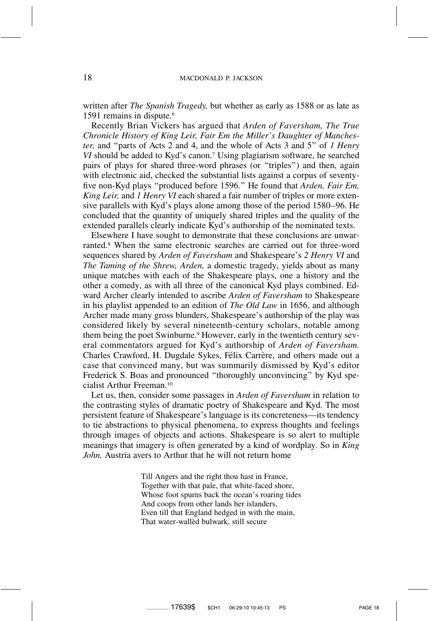written after *The Spanish Tragedy,* but whether as early as 1588 or as late as 1591 remains in dispute.<sup>6</sup>

Recently Brian Vickers has argued that *Arden of Faversham, The True Chronicle History of King Leir, Fair Em the Miller's Daughter of Manchester,* and ''parts of Acts 2 and 4, and the whole of Acts 3 and 5'' of *1 Henry VI* should be added to Kyd's canon.<sup>7</sup> Using plagiarism software, he searched pairs of plays for shared three-word phrases (or ''triples'') and then, again with electronic aid, checked the substantial lists against a corpus of seventyfive non-Kyd plays ''produced before 1596.'' He found that *Arden, Fair Em, King Leir,* and *1 Henry VI* each shared a fair number of triples or more extensive parallels with Kyd's plays alone among those of the period 1580–96. He concluded that the quantity of uniquely shared triples and the quality of the extended parallels clearly indicate Kyd's authorship of the nominated texts.

Elsewhere I have sought to demonstrate that these conclusions are unwarranted.8 When the same electronic searches are carried out for three-word sequences shared by *Arden of Faversham* and Shakespeare's *2 Henry VI* and *The Taming of the Shrew, Arden,* a domestic tragedy, yields about as many unique matches with each of the Shakespeare plays, one a history and the other a comedy, as with all three of the canonical Kyd plays combined. Edward Archer clearly intended to ascribe *Arden of Faversham* to Shakespeare in his playlist appended to an edition of *The Old Law* in 1656, and although Archer made many gross blunders, Shakespeare's authorship of the play was considered likely by several nineteenth-century scholars, notable among them being the poet Swinburne.<sup>9</sup> However, early in the twentieth century several commentators argued for Kyd's authorship of *Arden of Faversham.* Charles Crawford, H. Dugdale Sykes, Félix Carrère, and others made out a case that convinced many, but was summarily dismissed by Kyd's editor Frederick S. Boas and pronounced ''thoroughly unconvincing'' by Kyd specialist Arthur Freeman.10

Let us, then, consider some passages in *Arden of Faversham* in relation to the contrasting styles of dramatic poetry of Shakespeare and Kyd. The most persistent feature of Shakespeare's language is its concreteness—its tendency to tie abstractions to physical phenomena, to express thoughts and feelings through images of objects and actions. Shakespeare is so alert to multiple meanings that imagery is often generated by a kind of wordplay. So in *King John,* Austria avers to Arthur that he will not return home

> Till Angers and the right thou hast in France, Together with that pale, that white-faced shore, Whose foot spurns back the ocean's roaring tides And coops from other lands her islanders, Even till that England hedged in with the main, That water-wallèd bulwark, still secure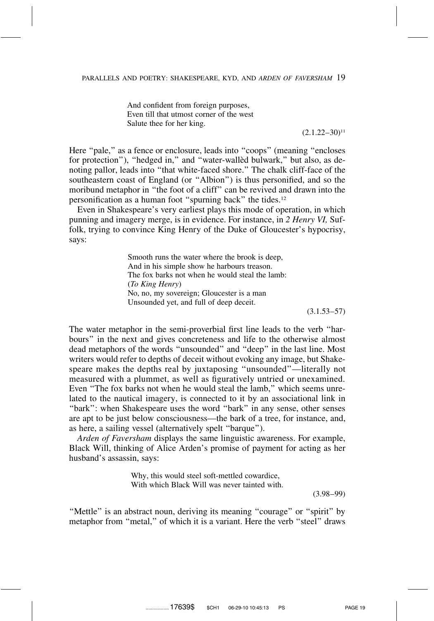And confident from foreign purposes, Even till that utmost corner of the west Salute thee for her king.

 $(2.1.22 - 30)^{11}$ 

Here "pale," as a fence or enclosure, leads into "coops" (meaning "encloses") for protection"), "hedged in," and "water-walled bulwark," but also, as denoting pallor, leads into ''that white-faced shore.'' The chalk cliff-face of the southeastern coast of England (or ''Albion'') is thus personified, and so the moribund metaphor in ''the foot of a cliff'' can be revived and drawn into the personification as a human foot ''spurning back'' the tides.12

Even in Shakespeare's very earliest plays this mode of operation, in which punning and imagery merge, is in evidence. For instance, in *2 Henry VI,* Suffolk, trying to convince King Henry of the Duke of Gloucester's hypocrisy, says:

> Smooth runs the water where the brook is deep, And in his simple show he harbours treason. The fox barks not when he would steal the lamb: (*To King Henry*) No, no, my sovereign; Gloucester is a man Unsounded yet, and full of deep deceit.

 $(3.1.53 - 57)$ 

The water metaphor in the semi-proverbial first line leads to the verb ''harbours'' in the next and gives concreteness and life to the otherwise almost dead metaphors of the words ''unsounded'' and ''deep'' in the last line. Most writers would refer to depths of deceit without evoking any image, but Shakespeare makes the depths real by juxtaposing ''unsounded''—literally not measured with a plummet, as well as figuratively untried or unexamined. Even ''The fox barks not when he would steal the lamb,'' which seems unrelated to the nautical imagery, is connected to it by an associational link in "bark": when Shakespeare uses the word "bark" in any sense, other senses are apt to be just below consciousness—the bark of a tree, for instance, and, as here, a sailing vessel (alternatively spelt ''barque'').

*Arden of Faversham* displays the same linguistic awareness. For example, Black Will, thinking of Alice Arden's promise of payment for acting as her husband's assassin, says:

> Why, this would steel soft-mettled cowardice, With which Black Will was never tainted with.

> > (3.98–99)

"Mettle" is an abstract noun, deriving its meaning "courage" or "spirit" by metaphor from ''metal,'' of which it is a variant. Here the verb ''steel'' draws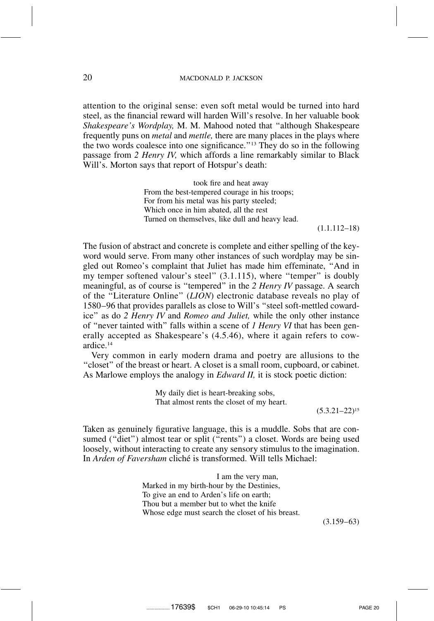attention to the original sense: even soft metal would be turned into hard steel, as the financial reward will harden Will's resolve. In her valuable book *Shakespeare's Wordplay,* M. M. Mahood noted that ''although Shakespeare frequently puns on *metal* and *mettle,* there are many places in the plays where the two words coalesce into one significance.''13 They do so in the following passage from *2 Henry IV,* which affords a line remarkably similar to Black Will's. Morton says that report of Hotspur's death:

> took fire and heat away From the best-tempered courage in his troops; For from his metal was his party steeled; Which once in him abated, all the rest Turned on themselves, like dull and heavy lead.

> > (1.1.112–18)

The fusion of abstract and concrete is complete and either spelling of the keyword would serve. From many other instances of such wordplay may be singled out Romeo's complaint that Juliet has made him effeminate, ''And in my temper softened valour's steel" (3.1.115), where "temper" is doubly meaningful, as of course is ''tempered'' in the *2 Henry IV* passage. A search of the ''Literature Online'' (*LION*) electronic database reveals no play of 1580–96 that provides parallels as close to Will's ''steel soft-mettled cowardice'' as do *2 Henry IV* and *Romeo and Juliet,* while the only other instance of ''never tainted with'' falls within a scene of *1 Henry VI* that has been generally accepted as Shakespeare's (4.5.46), where it again refers to cowardice.14

Very common in early modern drama and poetry are allusions to the ''closet'' of the breast or heart. A closet is a small room, cupboard, or cabinet. As Marlowe employs the analogy in *Edward II,* it is stock poetic diction:

> My daily diet is heart-breaking sobs, That almost rents the closet of my heart.

> > $(5.3.21 - 22)^{15}$

Taken as genuinely figurative language, this is a muddle. Sobs that are consumed ("diet") almost tear or split ("rents") a closet. Words are being used loosely, without interacting to create any sensory stimulus to the imagination. In *Arden of Faversham* cliché is transformed. Will tells Michael:

> I am the very man, Marked in my birth-hour by the Destinies, To give an end to Arden's life on earth; Thou but a member but to whet the knife Whose edge must search the closet of his breast.

> > (3.159–63)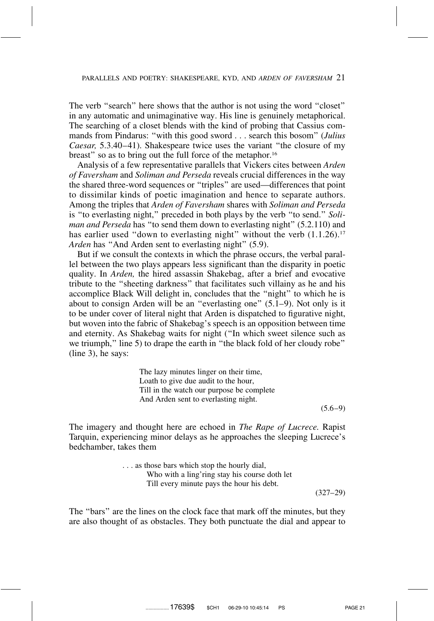The verb "search" here shows that the author is not using the word "closet" in any automatic and unimaginative way. His line is genuinely metaphorical. The searching of a closet blends with the kind of probing that Cassius commands from Pindarus: ''with this good sword . . . search this bosom'' (*Julius Caesar,* 5.3.40–41). Shakespeare twice uses the variant ''the closure of my breast" so as to bring out the full force of the metaphor.<sup>16</sup>

Analysis of a few representative parallels that Vickers cites between *Arden of Faversham* and *Soliman and Perseda* reveals crucial differences in the way the shared three-word sequences or ''triples'' are used—differences that point to dissimilar kinds of poetic imagination and hence to separate authors. Among the triples that *Arden of Faversham* shares with *Soliman and Perseda* is ''to everlasting night,'' preceded in both plays by the verb ''to send.'' *Soliman and Perseda* has ''to send them down to everlasting night'' (5.2.110) and has earlier used "down to everlasting night" without the verb  $(1.1.26)^{17}$ *Arden* has ''And Arden sent to everlasting night'' (5.9).

But if we consult the contexts in which the phrase occurs, the verbal parallel between the two plays appears less significant than the disparity in poetic quality. In *Arden,* the hired assassin Shakebag, after a brief and evocative tribute to the ''sheeting darkness'' that facilitates such villainy as he and his accomplice Black Will delight in, concludes that the ''night'' to which he is about to consign Arden will be an ''everlasting one'' (5.1–9). Not only is it to be under cover of literal night that Arden is dispatched to figurative night, but woven into the fabric of Shakebag's speech is an opposition between time and eternity. As Shakebag waits for night (''In which sweet silence such as we triumph," line 5) to drape the earth in "the black fold of her cloudy robe" (line 3), he says:

> The lazy minutes linger on their time, Loath to give due audit to the hour, Till in the watch our purpose be complete And Arden sent to everlasting night.

 $(5.6-9)$ 

The imagery and thought here are echoed in *The Rape of Lucrece.* Rapist Tarquin, experiencing minor delays as he approaches the sleeping Lucrece's bedchamber, takes them

> . . . as those bars which stop the hourly dial, Who with a ling'ring stay his course doth let Till every minute pays the hour his debt. (327–29)

The ''bars'' are the lines on the clock face that mark off the minutes, but they are also thought of as obstacles. They both punctuate the dial and appear to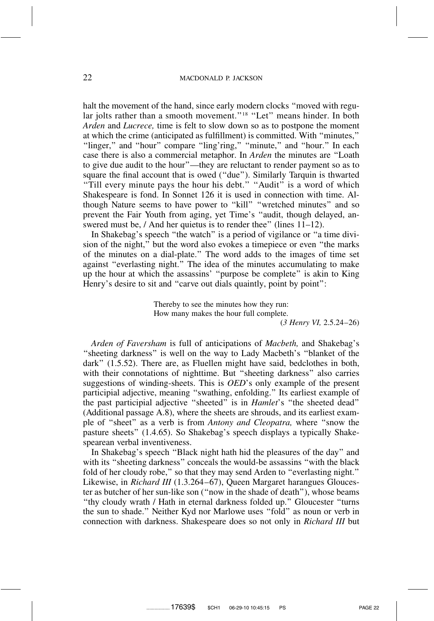halt the movement of the hand, since early modern clocks "moved with regular jolts rather than a smooth movement."<sup>18</sup> "Let" means hinder. In both *Arden* and *Lucrece,* time is felt to slow down so as to postpone the moment at which the crime (anticipated as fulfillment) is committed. With ''minutes,'' ''linger,'' and ''hour'' compare ''ling'ring,'' ''minute,'' and ''hour.'' In each case there is also a commercial metaphor. In *Arden* the minutes are ''Loath to give due audit to the hour''—they are reluctant to render payment so as to square the final account that is owed (''due''). Similarly Tarquin is thwarted "Till every minute pays the hour his debt." "Audit" is a word of which Shakespeare is fond. In Sonnet 126 it is used in connection with time. Although Nature seems to have power to "kill" "wretched minutes" and so prevent the Fair Youth from aging, yet Time's ''audit, though delayed, answered must be, / And her quietus is to render thee" (lines 11–12).

In Shakebag's speech "the watch" is a period of vigilance or "a time division of the night,'' but the word also evokes a timepiece or even ''the marks of the minutes on a dial-plate.'' The word adds to the images of time set against ''everlasting night.'' The idea of the minutes accumulating to make up the hour at which the assassins' ''purpose be complete'' is akin to King Henry's desire to sit and "carve out dials quaintly, point by point":

> Thereby to see the minutes how they run: How many makes the hour full complete.

(*3 Henry VI,* 2.5.24–26)

*Arden of Faversham* is full of anticipations of *Macbeth,* and Shakebag's ''sheeting darkness'' is well on the way to Lady Macbeth's ''blanket of the dark'' (1.5.52). There are, as Fluellen might have said, bedclothes in both, with their connotations of nighttime. But ''sheeting darkness'' also carries suggestions of winding-sheets. This is *OED*'s only example of the present participial adjective, meaning ''swathing, enfolding.'' Its earliest example of the past participial adjective ''sheeted'' is in *Hamlet*'s ''the sheeted dead'' (Additional passage A.8), where the sheets are shrouds, and its earliest example of ''sheet'' as a verb is from *Antony and Cleopatra,* where ''snow the pasture sheets'' (1.4.65). So Shakebag's speech displays a typically Shakespearean verbal inventiveness.

In Shakebag's speech ''Black night hath hid the pleasures of the day'' and with its ''sheeting darkness'' conceals the would-be assassins ''with the black fold of her cloudy robe,'' so that they may send Arden to ''everlasting night.'' Likewise, in *Richard III* (1.3.264–67), Queen Margaret harangues Gloucester as butcher of her sun-like son (''now in the shade of death''), whose beams ''thy cloudy wrath / Hath in eternal darkness folded up.'' Gloucester ''turns the sun to shade.'' Neither Kyd nor Marlowe uses ''fold'' as noun or verb in connection with darkness. Shakespeare does so not only in *Richard III* but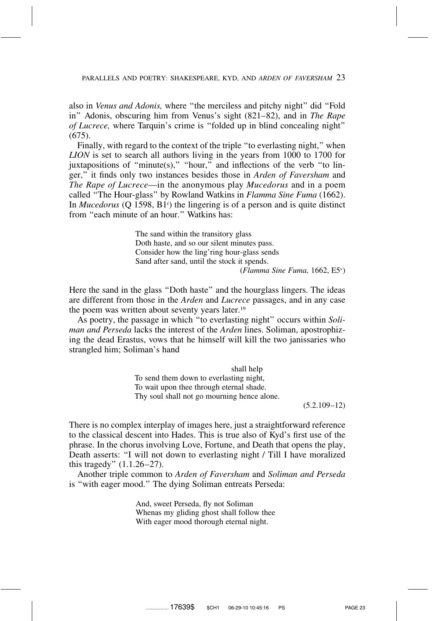also in *Venus and Adonis,* where ''the merciless and pitchy night'' did ''Fold in'' Adonis, obscuring him from Venus's sight (821–82), and in *The Rape of Lucrece,* where Tarquin's crime is ''folded up in blind concealing night'' (675).

Finally, with regard to the context of the triple "to everlasting night," when *LION* is set to search all authors living in the years from 1000 to 1700 for juxtapositions of "minute(s)," "hour," and inflections of the verb "to linger,'' it finds only two instances besides those in *Arden of Faversham* and *The Rape of Lucrece*—in the anonymous play *Mucedorus* and in a poem called ''The Hour-glass'' by Rowland Watkins in *Flamma Sine Fuma* (1662). In *Mucedorus* (Q 1598, B1<sup>r</sup>) the lingering is of a person and is quite distinct from "each minute of an hour." Watkins has:

> The sand within the transitory glass Doth haste, and so our silent minutes pass. Consider how the ling'ring hour-glass sends Sand after sand, until the stock it spends.

(*Flamma Sine Fuma,* 1662, E5v )

Here the sand in the glass "Doth haste" and the hourglass lingers. The ideas are different from those in the *Arden* and *Lucrece* passages, and in any case the poem was written about seventy years later.19

As poetry, the passage in which ''to everlasting night'' occurs within *Soliman and Perseda* lacks the interest of the *Arden* lines. Soliman, apostrophizing the dead Erastus, vows that he himself will kill the two janissaries who strangled him; Soliman's hand

> shall help To send them down to everlasting night, To wait upon thee through eternal shade. Thy soul shall not go mourning hence alone.

(5.2.109–12)

There is no complex interplay of images here, just a straightforward reference to the classical descent into Hades. This is true also of Kyd's first use of the phrase. In the chorus involving Love, Fortune, and Death that opens the play, Death asserts: ''I will not down to everlasting night / Till I have moralized this tragedy'' (1.1.26–27).

Another triple common to *Arden of Faversham* and *Soliman and Perseda* is ''with eager mood.'' The dying Soliman entreats Perseda:

> And, sweet Perseda, fly not Soliman Whenas my gliding ghost shall follow thee With eager mood thorough eternal night.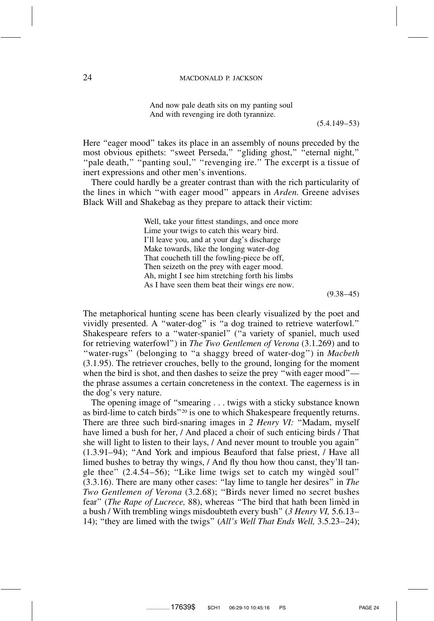And now pale death sits on my panting soul And with revenging ire doth tyrannize.

(5.4.149–53)

Here "eager mood" takes its place in an assembly of nouns preceded by the most obvious epithets: "sweet Perseda," "gliding ghost," "eternal night," "pale death," "panting soul," "revenging ire." The excerpt is a tissue of inert expressions and other men's inventions.

There could hardly be a greater contrast than with the rich particularity of the lines in which ''with eager mood'' appears in *Arden.* Greene advises Black Will and Shakebag as they prepare to attack their victim:

> Well, take your fittest standings, and once more Lime your twigs to catch this weary bird. I'll leave you, and at your dag's discharge Make towards, like the longing water-dog That coucheth till the fowling-piece be off, Then seizeth on the prey with eager mood. Ah, might I see him stretching forth his limbs As I have seen them beat their wings ere now.

> > $(9.38-45)$

The metaphorical hunting scene has been clearly visualized by the poet and vividly presented. A ''water-dog'' is ''a dog trained to retrieve waterfowl.'' Shakespeare refers to a ''water-spaniel'' (''a variety of spaniel, much used for retrieving waterfowl'') in *The Two Gentlemen of Verona* (3.1.269) and to ''water-rugs'' (belonging to ''a shaggy breed of water-dog'') in *Macbeth* (3.1.95). The retriever crouches, belly to the ground, longing for the moment when the bird is shot, and then dashes to seize the prey ''with eager mood'' the phrase assumes a certain concreteness in the context. The eagerness is in the dog's very nature.

The opening image of ''smearing . . . twigs with a sticky substance known as bird-lime to catch birds''20 is one to which Shakespeare frequently returns. There are three such bird-snaring images in *2 Henry VI:* ''Madam, myself have limed a bush for her, / And placed a choir of such enticing birds / That she will light to listen to their lays, / And never mount to trouble you again'' (1.3.91–94); ''And York and impious Beauford that false priest, / Have all limed bushes to betray thy wings, / And fly thou how thou canst, they'll tangle thee"  $(2.4.54-56)$ ; "Like lime twigs set to catch my winged soul" (3.3.16). There are many other cases: ''lay lime to tangle her desires'' in *The Two Gentlemen of Verona* (3.2.68); ''Birds never limed no secret bushes fear" (*The Rape of Lucrece*, 88), whereas "The bird that hath been limed in a bush / With trembling wings misdoubteth every bush'' (*3 Henry VI,* 5.6.13– 14); ''they are limed with the twigs'' (*All's Well That Ends Well,* 3.5.23–24);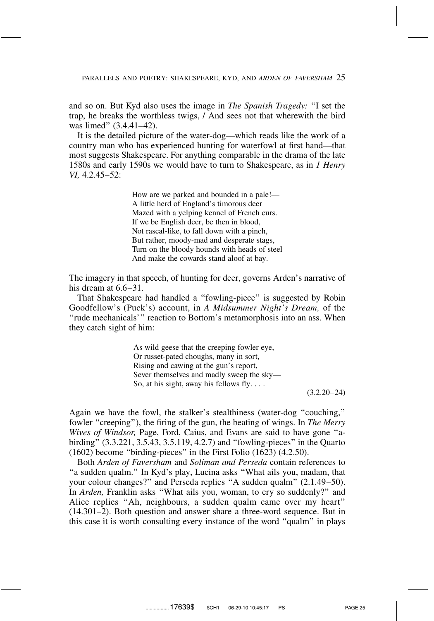and so on. But Kyd also uses the image in *The Spanish Tragedy:* ''I set the trap, he breaks the worthless twigs, / And sees not that wherewith the bird was limed'' (3.4.41–42).

It is the detailed picture of the water-dog—which reads like the work of a country man who has experienced hunting for waterfowl at first hand—that most suggests Shakespeare. For anything comparable in the drama of the late 1580s and early 1590s we would have to turn to Shakespeare, as in *1 Henry VI,* 4.2.45–52:

> How are we parked and bounded in a pale!— A little herd of England's timorous deer Mazed with a yelping kennel of French curs. If we be English deer, be then in blood, Not rascal-like, to fall down with a pinch, But rather, moody-mad and desperate stags, Turn on the bloody hounds with heads of steel And make the cowards stand aloof at bay.

The imagery in that speech, of hunting for deer, governs Arden's narrative of his dream at  $6.6-31$ .

That Shakespeare had handled a ''fowling-piece'' is suggested by Robin Goodfellow's (Puck's) account, in *A Midsummer Night's Dream,* of the "rude mechanicals'" reaction to Bottom's metamorphosis into an ass. When they catch sight of him:

> As wild geese that the creeping fowler eye, Or russet-pated choughs, many in sort, Rising and cawing at the gun's report, Sever themselves and madly sweep the sky— So, at his sight, away his fellows fly.  $\dots$

> > $(3.2.20 - 24)$

Again we have the fowl, the stalker's stealthiness (water-dog ''couching,'' fowler ''creeping''), the firing of the gun, the beating of wings. In *The Merry Wives of Windsor,* Page, Ford, Caius, and Evans are said to have gone ''abirding'' (3.3.221, 3.5.43, 3.5.119, 4.2.7) and ''fowling-pieces'' in the Quarto (1602) become ''birding-pieces'' in the First Folio (1623) (4.2.50).

Both *Arden of Faversham* and *Soliman and Perseda* contain references to "a sudden qualm." In Kyd's play, Lucina asks "What ails you, madam, that your colour changes?'' and Perseda replies ''A sudden qualm'' (2.1.49–50). In *Arden,* Franklin asks ''What ails you, woman, to cry so suddenly?'' and Alice replies ''Ah, neighbours, a sudden qualm came over my heart'' (14.301–2). Both question and answer share a three-word sequence. But in this case it is worth consulting every instance of the word ''qualm'' in plays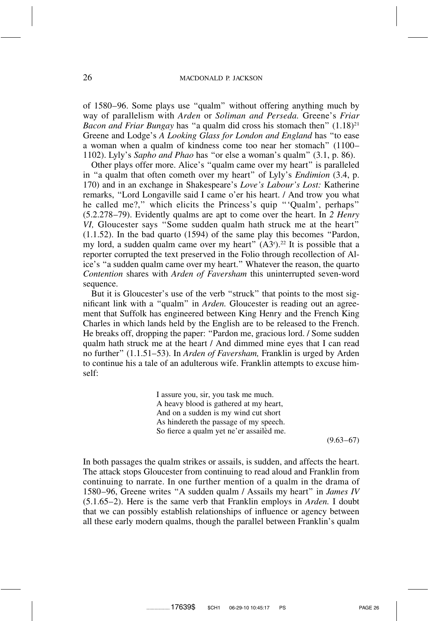of 1580–96. Some plays use ''qualm'' without offering anything much by way of parallelism with *Arden* or *Soliman and Perseda.* Greene's *Friar Bacon and Friar Bungay* has "a qualm did cross his stomach then"  $(1.18)^{21}$ Greene and Lodge's *A Looking Glass for London and England* has ''to ease a woman when a qualm of kindness come too near her stomach'' (1100– 1102). Lyly's *Sapho and Phao* has ''or else a woman's qualm'' (3.1, p. 86).

Other plays offer more. Alice's ''qualm came over my heart'' is paralleled in ''a qualm that often cometh over my heart'' of Lyly's *Endimion* (3.4, p. 170) and in an exchange in Shakespeare's *Love's Labour's Lost:* Katherine remarks, ''Lord Longaville said I came o'er his heart. / And trow you what he called me?,'' which elicits the Princess's quip '''Qualm', perhaps'' (5.2.278–79). Evidently qualms are apt to come over the heart. In *2 Henry VI,* Gloucester says ''Some sudden qualm hath struck me at the heart'' (1.1.52). In the bad quarto (1594) of the same play this becomes ''Pardon, my lord, a sudden qualm came over my heart"  $(A3<sup>r</sup>)<sup>.22</sup>$  It is possible that a reporter corrupted the text preserved in the Folio through recollection of Alice's ''a sudden qualm came over my heart.'' Whatever the reason, the quarto *Contention* shares with *Arden of Faversham* this uninterrupted seven-word sequence.

But it is Gloucester's use of the verb ''struck'' that points to the most significant link with a ''qualm'' in *Arden.* Gloucester is reading out an agreement that Suffolk has engineered between King Henry and the French King Charles in which lands held by the English are to be released to the French. He breaks off, dropping the paper: ''Pardon me, gracious lord. / Some sudden qualm hath struck me at the heart / And dimmed mine eyes that I can read no further'' (1.1.51–53). In *Arden of Faversham,* Franklin is urged by Arden to continue his a tale of an adulterous wife. Franklin attempts to excuse himself:

> I assure you, sir, you task me much. A heavy blood is gathered at my heart, And on a sudden is my wind cut short As hindereth the passage of my speech. So fierce a qualm yet ne'er assailèd me.

> > $(9.63-67)$

In both passages the qualm strikes or assails, is sudden, and affects the heart. The attack stops Gloucester from continuing to read aloud and Franklin from continuing to narrate. In one further mention of a qualm in the drama of 1580–96, Greene writes ''A sudden qualm / Assails my heart'' in *James IV* (5.1.65–2). Here is the same verb that Franklin employs in *Arden.* I doubt that we can possibly establish relationships of influence or agency between all these early modern qualms, though the parallel between Franklin's qualm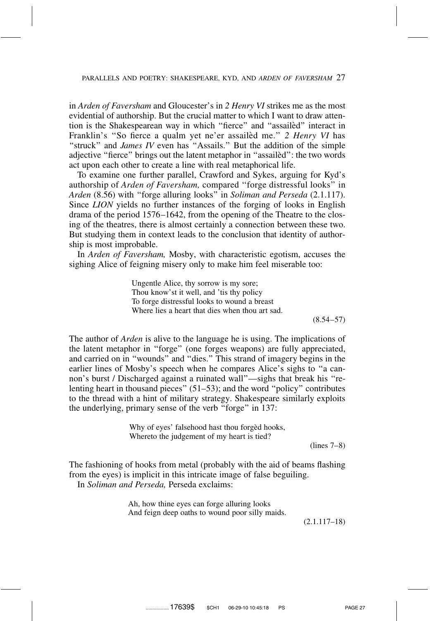in *Arden of Faversham* and Gloucester's in *2 Henry VI* strikes me as the most evidential of authorship. But the crucial matter to which I want to draw attention is the Shakespearean way in which "fierce" and "assailed" interact in Franklin's "So fierce a qualm yet ne'er assailed me." 2 Henry VI has "struck" and *James IV* even has "Assails." But the addition of the simple adjective "fierce" brings out the latent metaphor in "assailed": the two words act upon each other to create a line with real metaphorical life.

To examine one further parallel, Crawford and Sykes, arguing for Kyd's authorship of *Arden of Faversham,* compared ''forge distressful looks'' in *Arden* (8.56) with ''forge alluring looks'' in *Soliman and Perseda* (2.1.117). Since *LION* yields no further instances of the forging of looks in English drama of the period 1576–1642, from the opening of the Theatre to the closing of the theatres, there is almost certainly a connection between these two. But studying them in context leads to the conclusion that identity of authorship is most improbable.

In *Arden of Faversham,* Mosby, with characteristic egotism, accuses the sighing Alice of feigning misery only to make him feel miserable too:

> Ungentle Alice, thy sorrow is my sore; Thou know'st it well, and 'tis thy policy To forge distressful looks to wound a breast Where lies a heart that dies when thou art sad.

> > $(8.54 - 57)$

The author of *Arden* is alive to the language he is using. The implications of the latent metaphor in ''forge'' (one forges weapons) are fully appreciated, and carried on in ''wounds'' and ''dies.'' This strand of imagery begins in the earlier lines of Mosby's speech when he compares Alice's sighs to ''a cannon's burst / Discharged against a ruinated wall''—sighs that break his ''relenting heart in thousand pieces'' (51–53); and the word ''policy'' contributes to the thread with a hint of military strategy. Shakespeare similarly exploits the underlying, primary sense of the verb ''forge'' in 137:

> Why of eyes' falsehood hast thou forged hooks, Whereto the judgement of my heart is tied?

(lines 7–8)

The fashioning of hooks from metal (probably with the aid of beams flashing from the eyes) is implicit in this intricate image of false beguiling. In *Soliman and Perseda,* Perseda exclaims:

> Ah, how thine eyes can forge alluring looks And feign deep oaths to wound poor silly maids.

> > (2.1.117–18)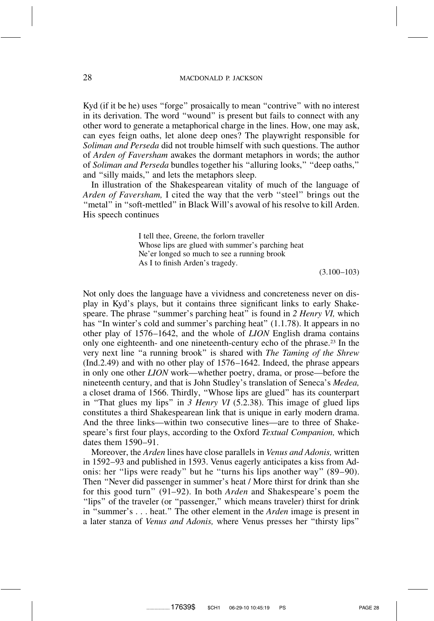Kyd (if it be he) uses ''forge'' prosaically to mean ''contrive'' with no interest in its derivation. The word ''wound'' is present but fails to connect with any other word to generate a metaphorical charge in the lines. How, one may ask, can eyes feign oaths, let alone deep ones? The playwright responsible for *Soliman and Perseda* did not trouble himself with such questions. The author of *Arden of Faversham* awakes the dormant metaphors in words; the author of *Soliman and Perseda* bundles together his ''alluring looks,'' ''deep oaths,'' and ''silly maids,'' and lets the metaphors sleep.

In illustration of the Shakespearean vitality of much of the language of *Arden of Faversham,* I cited the way that the verb ''steel'' brings out the "metal" in "soft-mettled" in Black Will's avowal of his resolve to kill Arden. His speech continues

> I tell thee, Greene, the forlorn traveller Whose lips are glued with summer's parching heat Ne'er longed so much to see a running brook As I to finish Arden's tragedy.

> > (3.100–103)

Not only does the language have a vividness and concreteness never on display in Kyd's plays, but it contains three significant links to early Shakespeare. The phrase ''summer's parching heat'' is found in *2 Henry VI,* which has "In winter's cold and summer's parching heat" (1.1.78). It appears in no other play of 1576–1642, and the whole of *LION* English drama contains only one eighteenth- and one nineteenth-century echo of the phrase.23 In the very next line ''a running brook'' is shared with *The Taming of the Shrew* (Ind.2.49) and with no other play of 1576–1642. Indeed, the phrase appears in only one other *LION* work—whether poetry, drama, or prose—before the nineteenth century, and that is John Studley's translation of Seneca's *Medea,* a closet drama of 1566. Thirdly, ''Whose lips are glued'' has its counterpart in ''That glues my lips'' in *3 Henry VI* (5.2.38). This image of glued lips constitutes a third Shakespearean link that is unique in early modern drama. And the three links—within two consecutive lines—are to three of Shakespeare's first four plays, according to the Oxford *Textual Companion,* which dates them 1590–91.

Moreover, the *Arden* lines have close parallels in *Venus and Adonis,* written in 1592–93 and published in 1593. Venus eagerly anticipates a kiss from Adonis: her ''lips were ready'' but he ''turns his lips another way'' (89–90). Then ''Never did passenger in summer's heat / More thirst for drink than she for this good turn'' (91–92). In both *Arden* and Shakespeare's poem the ''lips'' of the traveler (or ''passenger,'' which means traveler) thirst for drink in ''summer's . . . heat.'' The other element in the *Arden* image is present in a later stanza of *Venus and Adonis,* where Venus presses her ''thirsty lips''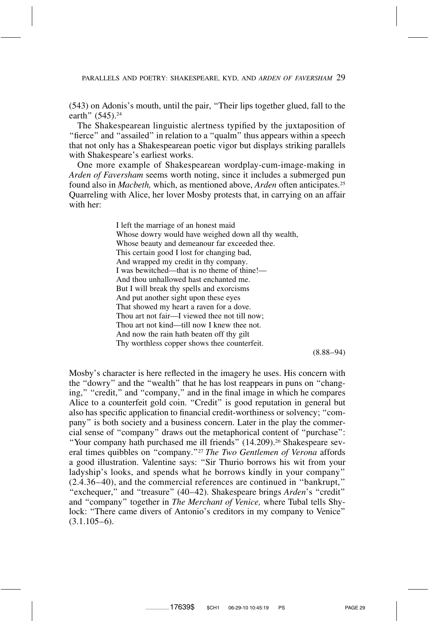(543) on Adonis's mouth, until the pair, ''Their lips together glued, fall to the earth" (545).<sup>24</sup>

The Shakespearean linguistic alertness typified by the juxtaposition of "fierce" and "assailed" in relation to a "qualm" thus appears within a speech that not only has a Shakespearean poetic vigor but displays striking parallels with Shakespeare's earliest works.

One more example of Shakespearean wordplay-cum-image-making in *Arden of Faversham* seems worth noting, since it includes a submerged pun found also in *Macbeth,* which, as mentioned above, *Arden* often anticipates.25 Quarreling with Alice, her lover Mosby protests that, in carrying on an affair with her:

> I left the marriage of an honest maid Whose dowry would have weighed down all thy wealth, Whose beauty and demeanour far exceeded thee. This certain good I lost for changing bad, And wrapped my credit in thy company. I was bewitched—that is no theme of thine!— And thou unhallowed hast enchanted me. But I will break thy spells and exorcisms And put another sight upon these eyes That showed my heart a raven for a dove. Thou art not fair—I viewed thee not till now; Thou art not kind—till now I knew thee not. And now the rain hath beaten off thy gilt Thy worthless copper shows thee counterfeit.

(8.88–94)

Mosby's character is here reflected in the imagery he uses. His concern with the ''dowry'' and the ''wealth'' that he has lost reappears in puns on ''changing," "credit," and "company," and in the final image in which he compares Alice to a counterfeit gold coin. "Credit" is good reputation in general but also has specific application to financial credit-worthiness or solvency; ''company'' is both society and a business concern. Later in the play the commercial sense of ''company'' draws out the metaphorical content of ''purchase'': "Your company hath purchased me ill friends" (14.209).<sup>26</sup> Shakespeare several times quibbles on ''company.''27 *The Two Gentlemen of Verona* affords a good illustration. Valentine says: ''Sir Thurio borrows his wit from your ladyship's looks, and spends what he borrows kindly in your company'' (2.4.36–40), and the commercial references are continued in ''bankrupt,'' ''exchequer,'' and ''treasure'' (40–42). Shakespeare brings *Arden*'s ''credit'' and ''company'' together in *The Merchant of Venice,* where Tubal tells Shylock: ''There came divers of Antonio's creditors in my company to Venice''  $(3.1.105-6)$ .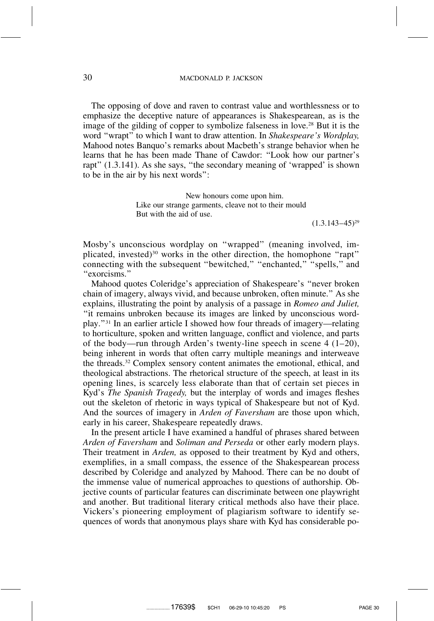The opposing of dove and raven to contrast value and worthlessness or to emphasize the deceptive nature of appearances is Shakespearean, as is the image of the gilding of copper to symbolize falseness in love.<sup>28</sup> But it is the word ''wrapt'' to which I want to draw attention. In *Shakespeare's Wordplay,* Mahood notes Banquo's remarks about Macbeth's strange behavior when he learns that he has been made Thane of Cawdor: ''Look how our partner's rapt" (1.3.141). As she says, "the secondary meaning of 'wrapped' is shown to be in the air by his next words'':

> New honours come upon him. Like our strange garments, cleave not to their mould But with the aid of use.

 $(1.3.143 - 45)^{29}$ 

Mosby's unconscious wordplay on ''wrapped'' (meaning involved, implicated, invested)<sup>30</sup> works in the other direction, the homophone "rapt" connecting with the subsequent "bewitched," "enchanted," "spells," and ''exorcisms.''

Mahood quotes Coleridge's appreciation of Shakespeare's ''never broken chain of imagery, always vivid, and because unbroken, often minute.'' As she explains, illustrating the point by analysis of a passage in *Romeo and Juliet,* ''it remains unbroken because its images are linked by unconscious wordplay.''31 In an earlier article I showed how four threads of imagery—relating to horticulture, spoken and written language, conflict and violence, and parts of the body—run through Arden's twenty-line speech in scene 4 (1–20), being inherent in words that often carry multiple meanings and interweave the threads.32 Complex sensory content animates the emotional, ethical, and theological abstractions. The rhetorical structure of the speech, at least in its opening lines, is scarcely less elaborate than that of certain set pieces in Kyd's *The Spanish Tragedy,* but the interplay of words and images fleshes out the skeleton of rhetoric in ways typical of Shakespeare but not of Kyd. And the sources of imagery in *Arden of Faversham* are those upon which, early in his career, Shakespeare repeatedly draws.

In the present article I have examined a handful of phrases shared between *Arden of Faversham* and *Soliman and Perseda* or other early modern plays. Their treatment in *Arden,* as opposed to their treatment by Kyd and others, exemplifies, in a small compass, the essence of the Shakespearean process described by Coleridge and analyzed by Mahood. There can be no doubt of the immense value of numerical approaches to questions of authorship. Objective counts of particular features can discriminate between one playwright and another. But traditional literary critical methods also have their place. Vickers's pioneering employment of plagiarism software to identify sequences of words that anonymous plays share with Kyd has considerable po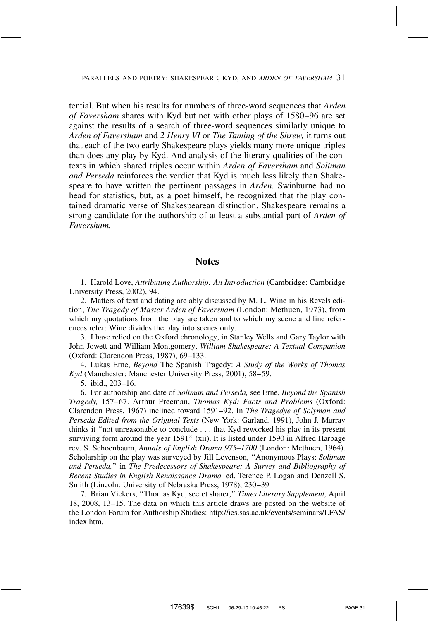tential. But when his results for numbers of three-word sequences that *Arden of Faversham* shares with Kyd but not with other plays of 1580–96 are set against the results of a search of three-word sequences similarly unique to *Arden of Faversham* and *2 Henry VI* or *The Taming of the Shrew,* it turns out that each of the two early Shakespeare plays yields many more unique triples than does any play by Kyd. And analysis of the literary qualities of the contexts in which shared triples occur within *Arden of Faversham* and *Soliman and Perseda* reinforces the verdict that Kyd is much less likely than Shakespeare to have written the pertinent passages in *Arden.* Swinburne had no head for statistics, but, as a poet himself, he recognized that the play contained dramatic verse of Shakespearean distinction. Shakespeare remains a strong candidate for the authorship of at least a substantial part of *Arden of Faversham.*

## **Notes**

1. Harold Love, *Attributing Authorship: An Introduction* (Cambridge: Cambridge University Press, 2002), 94.

2. Matters of text and dating are ably discussed by M. L. Wine in his Revels edition, *The Tragedy of Master Arden of Faversham* (London: Methuen, 1973), from which my quotations from the play are taken and to which my scene and line references refer: Wine divides the play into scenes only.

3. I have relied on the Oxford chronology, in Stanley Wells and Gary Taylor with John Jowett and William Montgomery, *William Shakespeare: A Textual Companion* (Oxford: Clarendon Press, 1987), 69–133.

4. Lukas Erne, *Beyond* The Spanish Tragedy: *A Study of the Works of Thomas Kyd* (Manchester: Manchester University Press, 2001), 58–59.

5. ibid., 203–16.

6. For authorship and date of *Soliman and Perseda,* see Erne, *Beyond the Spanish Tragedy,* 157–67. Arthur Freeman, *Thomas Kyd: Facts and Problems* (Oxford: Clarendon Press, 1967) inclined toward 1591–92. In *The Tragedye of Solyman and Perseda Edited from the Original Texts* (New York: Garland, 1991), John J. Murray thinks it ''not unreasonable to conclude . . . that Kyd reworked his play in its present surviving form around the year 1591'' (xii). It is listed under 1590 in Alfred Harbage rev. S. Schoenbaum, *Annals of English Drama 975–1700* (London: Methuen, 1964). Scholarship on the play was surveyed by Jill Levenson, ''Anonymous Plays: *Soliman and Perseda,*'' in *The Predecessors of Shakespeare: A Survey and Bibliography of Recent Studies in English Renaissance Drama,* ed. Terence P. Logan and Denzell S. Smith (Lincoln: University of Nebraska Press, 1978), 230–39

7. Brian Vickers, ''Thomas Kyd, secret sharer,'' *Times Literary Supplement,* April 18, 2008, 13–15. The data on which this article draws are posted on the website of the London Forum for Authorship Studies: http://ies.sas.ac.uk/events/seminars/LFAS/ index.htm.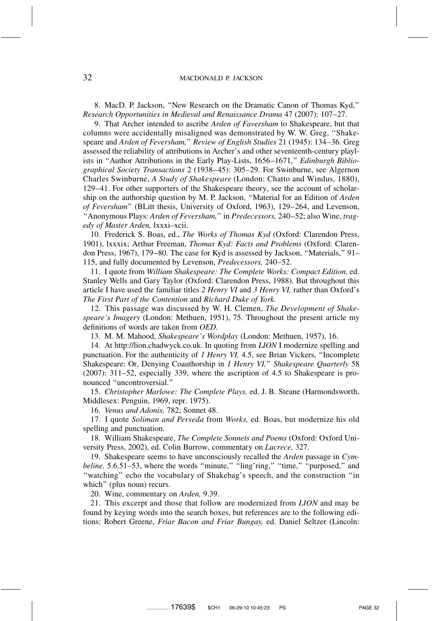8. MacD. P. Jackson, ''New Research on the Dramatic Canon of Thomas Kyd,'' *Research Opportunities in Medieval and Renaissance Drama* 47 (2007): 107–27.

9. That Archer intended to ascribe *Arden of Faversham* to Shakespeare, but that columns were accidentally misaligned was demonstrated by W. W. Greg, ''Shakespeare and *Arden of Feversham,*'' *Review of English Studies* 21 (1945): 134–36. Greg assessed the reliability of attributions in Archer's and other seventeenth-century playlists in ''Author Attributions in the Early Play-Lists, 1656–1671,'' *Edinburgh Bibliographical Society Transactions* 2 (1938–45): 305–29. For Swinburne, see Algernon Charles Swinburne, *A Study of Shakespeare* (London: Chatto and Windus, 1880), 129–41. For other supporters of the Shakespeare theory, see the account of scholarship on the authorship question by M. P. Jackson, ''Material for an Edition of *Arden of Feversham*'' (BLitt thesis, University of Oxford, 1963), 129–264, and Levenson, ''Anonymous Plays: *Arden of Feversham,*'' in *Predecessors,* 240–52; also Wine, *tragedy of Master Arden,* lxxxi–xcii.

10. Frederick S. Boas, ed., *The Works of Thomas Kyd* (Oxford: Clarendon Press, 1901), lxxxix; Arthur Freeman, *Thomas Kyd: Facts and Problems* (Oxford: Clarendon Press, 1967), 179–80. The case for Kyd is assessed by Jackson, ''Materials,'' 91– 115, and fully documented by Levenson, *Predecessors,* 240–52.

11. I quote from *William Shakespeare: The Complete Works: Compact Edition,* ed. Stanley Wells and Gary Taylor (Oxford: Clarendon Press, 1988). But throughout this article I have used the familiar titles *2 Henry VI* and *3 Henry VI,* rather than Oxford's *The First Part of the Contention* and *Richard Duke of York.*

12. This passage was discussed by W. H. Clemen, *The Development of Shakespeare's Imagery* (London: Methuen, 1951), 75. Throughout the present article my definitions of words are taken from *OED.*

13. M. M. Mahood, *Shakespeare's Wordplay* (London: Methuen, 1957), 16.

14. At http://lion.chadwyck.co.uk. In quoting from *LION* I modernize spelling and punctuation. For the authenticity of *1 Henry VI,* 4.5, see Brian Vickers, ''Incomplete Shakespeare: Or, Denying Coauthorship in *1 Henry VI,*'' *Shakespeare Quarterly* 58 (2007): 311–52, especially 339, where the ascription of 4.5 to Shakespeare is pronounced ''uncontroversial.''

15. *Christopher Marlowe: The Complete Plays,* ed. J. B. Steane (Harmondsworth, Middlesex: Penguin, 1969, repr. 1975).

16. *Venus and Adonis,* 782; Sonnet 48.

17. I quote *Soliman and Perseda* from *Works,* ed. Boas, but modernize his old spelling and punctuation.

18. William Shakespeare, *The Complete Sonnets and Poems* (Oxford: Oxford University Press, 2002), ed. Colin Burrow, commentary on *Lucrece,* 327.

19. Shakespeare seems to have unconsciously recalled the *Arden* passage in *Cymbeline*, 5.6.51–53, where the words "minute," "ling'ring," "time," "purposed," and ''watching'' echo the vocabulary of Shakebag's speech, and the construction ''in which'' (plus noun) recurs.

20. Wine, commentary on *Arden,* 9.39.

21. This excerpt and those that follow are modernized from *LION* and may be found by keying words into the search boxes, but references are to the following editions: Robert Greene, *Friar Bacon and Friar Bungay,* ed. Daniel Seltzer (Lincoln: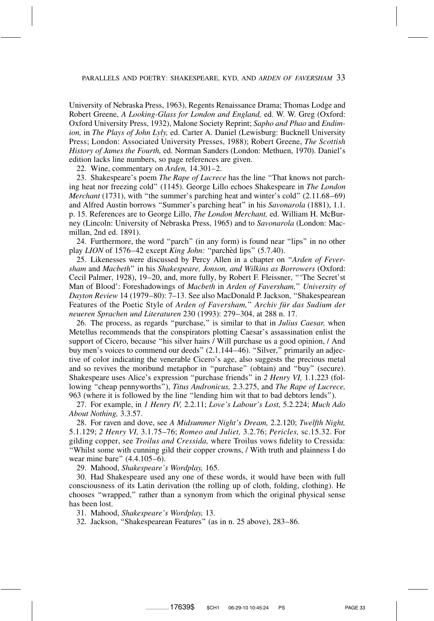University of Nebraska Press, 1963), Regents Renaissance Drama; Thomas Lodge and Robert Greene, *A Looking-Glass for London and England,* ed. W. W. Greg (Oxford: Oxford University Press, 1932), Malone Society Reprint; *Sapho and Phao* and *Endimion,* in *The Plays of John Lyly,* ed. Carter A. Daniel (Lewisburg: Bucknell University Press; London: Associated University Presses, 1988); Robert Greene, *The Scottish History of James the Fourth,* ed. Norman Sanders (London: Methuen, 1970). Daniel's edition lacks line numbers, so page references are given.

22. Wine, commentary on *Arden,* 14.301–2.

23. Shakespeare's poem *The Rape of Lucrece* has the line ''That knows not parching heat nor freezing cold'' (1145). George Lillo echoes Shakespeare in *The London Merchant* (1731), with "the summer's parching heat and winter's cold" (2.11.68–69) and Alfred Austin borrows ''Summer's parching heat'' in his *Savonarola* (1881), 1.1. p. 15. References are to George Lillo, *The London Merchant,* ed. William H. McBurney (Lincoln: University of Nebraska Press, 1965) and to *Savonarola* (London: Macmillan, 2nd ed. 1891).

24. Furthermore, the word ''parch'' (in any form) is found near ''lips'' in no other play *LION* of 1576–42 except *King John:* "parched lips" (5.7.40).

25. Likenesses were discussed by Percy Allen in a chapter on ''*Arden of Feversham* and *Macbeth*'' in his *Shakespeare, Jonson, and Wilkins as Borrowers* (Oxford: Cecil Palmer, 1928), 19–20, and, more fully, by Robert F. Fleissner, '''The Secret'st Man of Blood': Foreshadowings of *Macbeth* in *Arden of Faversham,*'' *University of Dayton Review* 14 (1979–80): 7–13. See also MacDonald P. Jackson, ''Shakespearean Features of the Poetic Style of *Arden of Faversham*," *Archiv für das Sudium der neueren Sprachen und Literaturen* 230 (1993): 279–304, at 288 n. 17.

26. The process, as regards ''purchase,'' is similar to that in *Julius Caesar,* when Metellus recommends that the conspirators plotting Caesar's assassination enlist the support of Cicero, because "his silver hairs / Will purchase us a good opinion, / And buy men's voices to commend our deeds" (2.1.144-46). "Silver," primarily an adjective of color indicating the venerable Cicero's age, also suggests the precious metal and so revives the moribund metaphor in ''purchase'' (obtain) and ''buy'' (secure). Shakespeare uses Alice's expression ''purchase friends'' in *2 Henry VI,* 1.1.223 (following ''cheap pennyworths''), *Titus Andronicus,* 2.3.275, and *The Rape of Lucrece,* 963 (where it is followed by the line ''lending him wit that to bad debtors lends'').

27. For example, in *1 Henry IV,* 2.2.11; *Love's Labour's Lost,* 5.2.224; *Much Ado About Nothing,* 3.3.57.

28. For raven and dove, see *A Midsummer Night's Dream,* 2.2.120; *Twelfth Night,* 5.1.129; *2 Henry VI,* 3.1.75–76; *Romeo and Juliet,* 3.2.76; *Pericles,* sc.15.32. For gilding copper, see *Troilus and Cressida,* where Troilus vows fidelity to Cressida: ''Whilst some with cunning gild their copper crowns, / With truth and plainness I do wear mine bare'' (4.4.105–6).

29. Mahood, *Shakespeare's Wordplay,* 165.

30. Had Shakespeare used any one of these words, it would have been with full consciousness of its Latin derivation (the rolling up of cloth, folding, clothing). He chooses ''wrapped,'' rather than a synonym from which the original physical sense has been lost.

31. Mahood, *Shakespeare's Wordplay,* 13.

32. Jackson, ''Shakespearean Features'' (as in n. 25 above), 283–86.